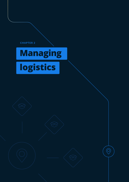<span id="page-0-0"></span>

# **Managing**

 $\circledcirc$ 

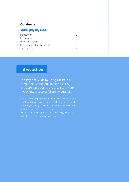## <span id="page-1-0"></span>**Contents**

#### **Managing logistics**

| Introduction                     |   |
|----------------------------------|---|
| Plan your logistics              | ₹ |
| Work out shipping                |   |
| Find out more about going online |   |
| About PayFast                    |   |

# **Introduction**

The PayFast Guide to Going Online is a comprehensive ebook to help aspiring entrepreneurs such as yourself turn your hobby into a successful online business.

to efficiently manage your logistics, including sourcing and managing inventory as well as shipping. Within this chapter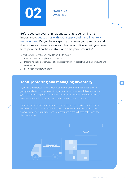<span id="page-2-0"></span>

# LOGISTICS

Before you can even think about starting to sell online it's important to get to grips with your supply chain and inventory management. Do you have capacity to source your products and then store your inventory in your house or office, or will you have to rely on third parties to store and ship your products?

To sort out your logistics you need to do the following:

- 1. Identify potential suppliers and distributors
- 2. Determine their location, ease of accessibility and how cost effective their products and services are
- 3. Form relationships with them

# **Tooltip: Storing and managing inventory**

get an order you can package it and send it to your customer. Doing this can save you money as you won't have to pay third parties for warehouse management.

If you are running a bigger operation, you can outsource your logistics by integrating your shopping cart platform with a third party provider's warehouse system. When

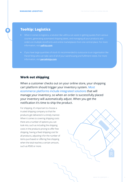## <span id="page-3-0"></span>**Tooltip: Logistics**

- **•** When it comes to logistics, a solution like uAfrica can assist in getting quotes from various couriers, generating automated shipping labels, and managing all your products and information, visit **<uafrica.com>**
- information, visit **<parcelninja.com>**

#### **Work out shipping**

When a customer checks out on your online store, your shopping cart platform should trigger your inventory system. Most ecommerce platforms include integrated solutions that will manage your inventory, so when an order is successfully placed your inventory will automatically adjust. When you get the notification it's time to ship the product.

For shipping, it's important to choose a trusted shipping company so that the products get delivered in a timely manner. When it comes to covering shipping costs there are a number of options you can look into, such as including the shipping costs in the products pricing to offer free shipping, having a fixed shipping cost for all products, adjusting it for the number of items purchased or offering free shipping when the total reaches a certain amount, such as R500 or more.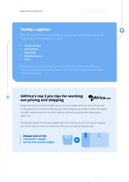# **Tooltip: Logistics**

- **• [The Courier Guy](https://www.thecourierguy.co.za/)**
- **• [MDS Collivery](https://collivery.net/)**
- **• [Dawn Wing](http://www.dawnwing.co.za/)**
- **• [Fast Way Couriers](https://www.fastway.co.za/)**
- **• [Sendr](https://www.sendr.co.za/)**

track of their package.

# **UAfrica's top 3 pro tips for working out pricing and shipping**



Always look at the volumetric weight versus the actual weight when you are in the process of calculating your pricing and shipping rates. Depending on your product, these two weights can differ exponentially and can affect what you will end up paying when shipping your orders out.

Knowing the greater of these two weights (and thus what the couriers will end up charging you on) can help you more accurately calculate your pricing and shipping rates.



**VS**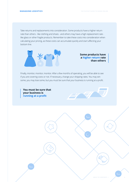Take returns and replacements into consideration. Some products have a higher return rate than others - like clothing and shoes - and others may have a high replacement rate like glass or other fragile products. Remember to take these costs into consideration when calculating your pricing, as these costs can accumulate quickly and start affecting your bottom line.



#### **Some products have a higher return rate than others**

Finally, monitor, monitor, monitor. After a few months of operating, you will be able to see if you are covering costs or not. If necessary, change your shipping rates. You may win some, you may lose some, but you must be sure that your business is running at a profit.

**You must be sure that your business is running at a profit**